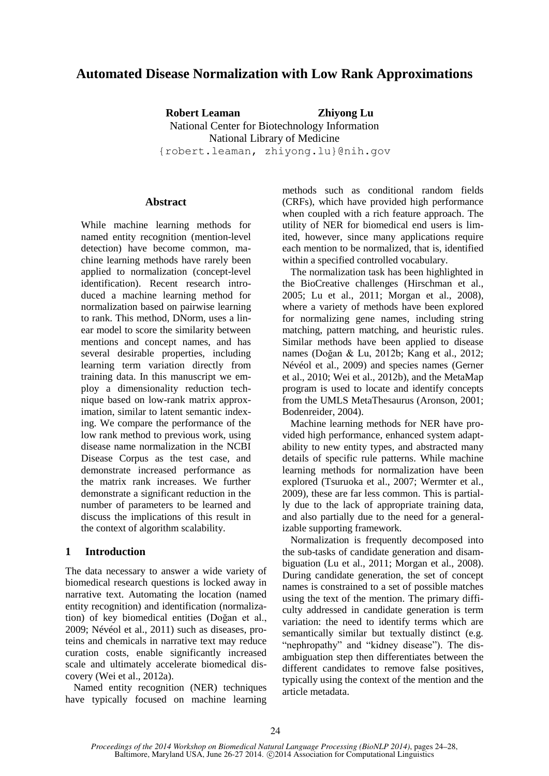# **Automated Disease Normalization with Low Rank Approximations**

**Robert Leaman Zhiyong Lu** National Center for Biotechnology Information National Library of Medicine {robert.leaman, zhiyong.lu}@nih.gov

## **Abstract**

While machine learning methods for named entity recognition (mention-level detection) have become common, machine learning methods have rarely been applied to normalization (concept-level identification). Recent research introduced a machine learning method for normalization based on pairwise learning to rank. This method, DNorm, uses a linear model to score the similarity between mentions and concept names, and has several desirable properties, including learning term variation directly from training data. In this manuscript we employ a dimensionality reduction technique based on low-rank matrix approximation, similar to latent semantic indexing. We compare the performance of the low rank method to previous work, using disease name normalization in the NCBI Disease Corpus as the test case, and demonstrate increased performance as the matrix rank increases. We further demonstrate a significant reduction in the number of parameters to be learned and discuss the implications of this result in the context of algorithm scalability.

# **1 Introduction**

The data necessary to answer a wide variety of biomedical research questions is locked away in narrative text. Automating the location (named entity recognition) and identification (normalization) of key biomedical entities (Doğan et al., 2009; Névéol et al., 2011) such as diseases, proteins and chemicals in narrative text may reduce curation costs, enable significantly increased scale and ultimately accelerate biomedical discovery (Wei et al., 2012a).

Named entity recognition (NER) techniques have typically focused on machine learning methods such as conditional random fields (CRFs), which have provided high performance when coupled with a rich feature approach. The utility of NER for biomedical end users is limited, however, since many applications require each mention to be normalized, that is, identified within a specified controlled vocabulary.

The normalization task has been highlighted in the BioCreative challenges (Hirschman et al., 2005; Lu et al., 2011; Morgan et al., 2008), where a variety of methods have been explored for normalizing gene names, including string matching, pattern matching, and heuristic rules. Similar methods have been applied to disease names (Doğan & Lu, 2012b; Kang et al., 2012; Névéol et al., 2009) and species names (Gerner et al., 2010; Wei et al., 2012b), and the MetaMap program is used to locate and identify concepts from the UMLS MetaThesaurus (Aronson, 2001; Bodenreider, 2004).

Machine learning methods for NER have provided high performance, enhanced system adaptability to new entity types, and abstracted many details of specific rule patterns. While machine learning methods for normalization have been explored (Tsuruoka et al., 2007; Wermter et al., 2009), these are far less common. This is partially due to the lack of appropriate training data, and also partially due to the need for a generalizable supporting framework.

Normalization is frequently decomposed into the sub-tasks of candidate generation and disambiguation (Lu et al., 2011; Morgan et al., 2008). During candidate generation, the set of concept names is constrained to a set of possible matches using the text of the mention. The primary difficulty addressed in candidate generation is term variation: the need to identify terms which are semantically similar but textually distinct (e.g. "nephropathy" and "kidney disease"). The disambiguation step then differentiates between the different candidates to remove false positives, typically using the context of the mention and the article metadata.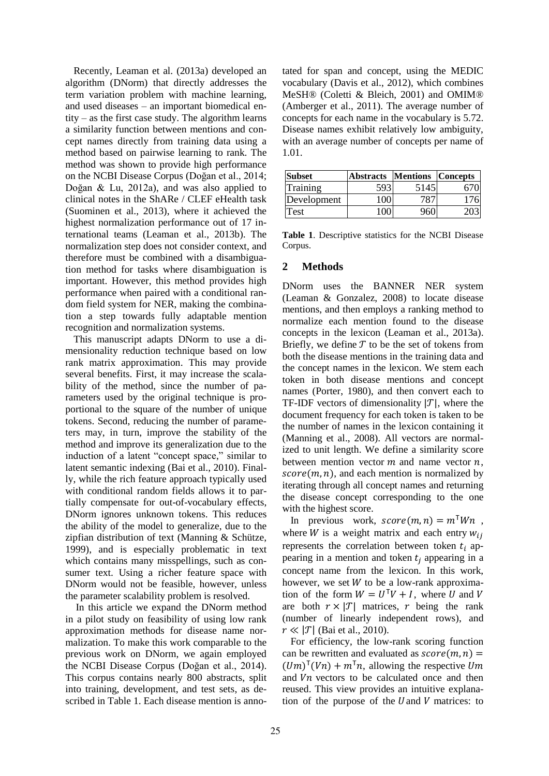Recently, Leaman et al. (2013a) developed an algorithm (DNorm) that directly addresses the term variation problem with machine learning, and used diseases – an important biomedical entity – as the first case study. The algorithm learns a similarity function between mentions and concept names directly from training data using a method based on pairwise learning to rank. The method was shown to provide high performance on the NCBI Disease Corpus (Doğan et al., 2014; Doğan & Lu, 2012a), and was also applied to clinical notes in the ShARe / CLEF eHealth task (Suominen et al., 2013), where it achieved the highest normalization performance out of 17 international teams (Leaman et al., 2013b). The normalization step does not consider context, and therefore must be combined with a disambiguation method for tasks where disambiguation is important. However, this method provides high performance when paired with a conditional random field system for NER, making the combination a step towards fully adaptable mention recognition and normalization systems.

This manuscript adapts DNorm to use a dimensionality reduction technique based on low rank matrix approximation. This may provide several benefits. First, it may increase the scalability of the method, since the number of parameters used by the original technique is proportional to the square of the number of unique tokens. Second, reducing the number of parameters may, in turn, improve the stability of the method and improve its generalization due to the induction of a latent "concept space," similar to latent semantic indexing (Bai et al., 2010). Finally, while the rich feature approach typically used with conditional random fields allows it to partially compensate for out-of-vocabulary effects, DNorm ignores unknown tokens. This reduces the ability of the model to generalize, due to the zipfian distribution of text (Manning & Schütze, 1999), and is especially problematic in text which contains many misspellings, such as consumer text. Using a richer feature space with DNorm would not be feasible, however, unless the parameter scalability problem is resolved.

In this article we expand the DNorm method in a pilot study on feasibility of using low rank approximation methods for disease name normalization. To make this work comparable to the previous work on DNorm, we again employed the NCBI Disease Corpus (Doğan et al., 2014). This corpus contains nearly 800 abstracts, split into training, development, and test sets, as described in Table 1. Each disease mention is annotated for span and concept, using the MEDIC vocabulary (Davis et al., 2012), which combines MeSH® (Coletti & Bleich, 2001) and OMIM® (Amberger et al., 2011). The average number of concepts for each name in the vocabulary is 5.72. Disease names exhibit relatively low ambiguity, with an average number of concepts per name of 1.01.

| <b>Subset</b> | <b>Abstracts Mentions Concepts</b> |      |  |
|---------------|------------------------------------|------|--|
| Training      |                                    | 5145 |  |
| Development   | $100 -$                            |      |  |
| <b>Test</b>   |                                    |      |  |

**Table 1**. Descriptive statistics for the NCBI Disease Corpus.

## **2 Methods**

DNorm uses the BANNER NER system (Leaman & Gonzalez, 2008) to locate disease mentions, and then employs a ranking method to normalize each mention found to the disease concepts in the lexicon (Leaman et al., 2013a). Briefly, we define  $T$  to be the set of tokens from both the disease mentions in the training data and the concept names in the lexicon. We stem each token in both disease mentions and concept names (Porter, 1980), and then convert each to TF-IDF vectors of dimensionality  $|T|$ , where the document frequency for each token is taken to be the number of names in the lexicon containing it (Manning et al., 2008). All vectors are normalized to unit length. We define a similarity score between mention vector  $m$  and name vector  $n$ ,  $score(m, n)$ , and each mention is normalized by iterating through all concept names and returning the disease concept corresponding to the one with the highest score.

In previous work,  $score(m, n) = m^T W n$ , where *W* is a weight matrix and each entry  $w_{ij}$ represents the correlation between token  $t_i$  appearing in a mention and token  $t_i$  appearing in a concept name from the lexicon. In this work, however, we set  $W$  to be a low-rank approximation of the form  $W = U^{T}V + I$ , where U and are both  $r \times |T|$  matrices, r being the rank (number of linearly independent rows), and  $r \ll |\mathcal{T}|$  (Bai et al., 2010).

For efficiency, the low-rank scoring function can be rewritten and evaluated as  $score(m, n) =$  $(Um)^{T}(Vn) + m^{T}n$ , allowing the respective and  $Vn$  vectors to be calculated once and then reused. This view provides an intuitive explanation of the purpose of the  $U$  and  $V$  matrices: to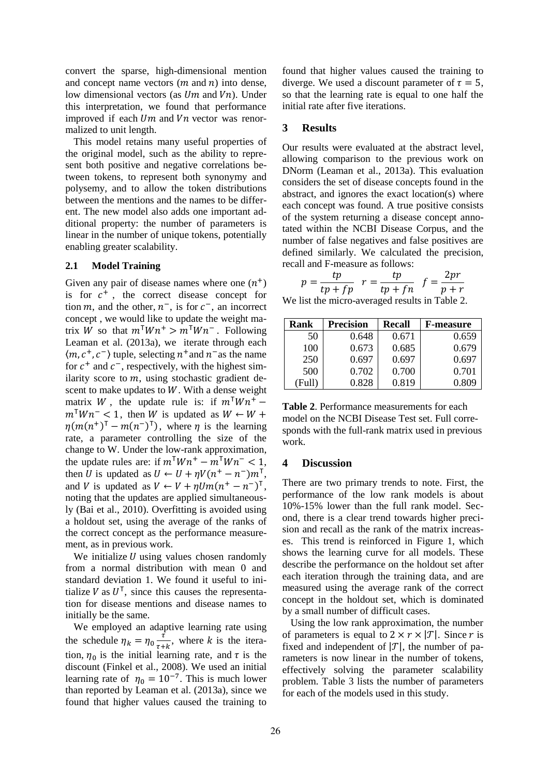convert the sparse, high-dimensional mention and concept name vectors  $(m \text{ and } n)$  into dense, low dimensional vectors (as  $Um$  and  $Vn$ ). Under this interpretation, we found that performance improved if each  $Um$  and  $Vn$  vector was renormalized to unit length.

This model retains many useful properties of the original model, such as the ability to represent both positive and negative correlations between tokens, to represent both synonymy and polysemy, and to allow the token distributions between the mentions and the names to be different. The new model also adds one important additional property: the number of parameters is linear in the number of unique tokens, potentially enabling greater scalability.

#### **2.1 Model Training**

Given any pair of disease names where one  $(n^+)$ is for  $c^+$ , the correct disease concept for tion m, and the other,  $n^{-}$ , is for  $c^{-}$ , an incorrect concept , we would like to update the weight matrix W so that  $m^{\mathsf{T}} W n^+ > m^{\mathsf{T}} W n^-$ . Following Leaman et al. (2013a), we iterate through each  $\langle m, c^+, c^- \rangle$  tuple, selecting  $n^+$  and  $n^-$  as the name for  $c^+$  and  $c^-$ , respectively, with the highest similarity score to  $m$ , using stochastic gradient descent to make updates to  $W$ . With a dense weight matrix W, the update rule is: if  $m<sup>T</sup> W n<sup>+</sup>$  $m<sup>T</sup> W n<sup>-</sup> < 1$ , then W is updated as  $\eta(m(n^+)^T - m(n^-)^T)$ , where  $\eta$  is the learning rate, a parameter controlling the size of the change to W. Under the low-rank approximation, the update rules are: if  $m^{\dagger} W n^+ - m^{\dagger} W n^- < 1$ , then U is updated as  $U \leftarrow U + \eta V (n^+ - n^-) m^T$ , and V is updated as  $V \leftarrow V + \eta Um(n^+ - n^-)^T$ , noting that the updates are applied simultaneously (Bai et al., 2010). Overfitting is avoided using a holdout set, using the average of the ranks of the correct concept as the performance measurement, as in previous work.

We initialize  $U$  using values chosen randomly from a normal distribution with mean 0 and standard deviation 1. We found it useful to initialize V as  $U^{\mathsf{T}}$ , since this causes the representation for disease mentions and disease names to initially be the same.

We employed an adaptive learning rate using the schedule  $\eta_k = \eta_0 \frac{\vec{t}}{\sqrt{n}}$  $\frac{1}{\tau+k}$ , where k is the iteration,  $\eta_0$  is the initial learning rate, and  $\tau$  is the discount (Finkel et al., 2008). We used an initial learning rate of  $\eta_0 = 10^{-7}$ . This is much lower than reported by Leaman et al. (2013a), since we found that higher values caused the training to

found that higher values caused the training to diverge. We used a discount parameter of  $\tau = 5$ , so that the learning rate is equal to one half the initial rate after five iterations.

### **3 Results**

Our results were evaluated at the abstract level, allowing comparison to the previous work on DNorm (Leaman et al., 2013a). This evaluation considers the set of disease concepts found in the abstract, and ignores the exact location(s) where each concept was found. A true positive consists of the system returning a disease concept annotated within the NCBI Disease Corpus, and the number of false negatives and false positives are defined similarly. We calculated the precision, recall and F-measure as follows:

$$
p = \frac{tp}{tp + fp} \quad r = \frac{tp}{tp + fn} \quad f = \frac{2pr}{p + r}
$$

We list the micro-averaged results in Table 2.

| Rank | <b>Precision</b> | Recall | <b>F-measure</b> |
|------|------------------|--------|------------------|
| 50   | 0.648            | 0.671  | 0.659            |
| 100  | 0.673            | 0.685  | 0.679            |
| 250  | 0.697            | 0.697  | 0.697            |
| 500  | 0.702            | 0.700  | 0.701            |
|      | 0.828            | 0.819  | 0.809            |

**Table 2**. Performance measurements for each model on the NCBI Disease Test set. Full corresponds with the full-rank matrix used in previous work.

#### **4 Discussion**

There are two primary trends to note. First, the performance of the low rank models is about 10%-15% lower than the full rank model. Second, there is a clear trend towards higher precision and recall as the rank of the matrix increases. This trend is reinforced in Figure 1, which shows the learning curve for all models. These describe the performance on the holdout set after each iteration through the training data, and are measured using the average rank of the correct concept in the holdout set, which is dominated by a small number of difficult cases.

Using the low rank approximation, the number of parameters is equal to  $2 \times r \times |T|$ . Since r is fixed and independent of  $|{\mathcal{T}}|$ , the number of parameters is now linear in the number of tokens, effectively solving the parameter scalability problem. Table 3 lists the number of parameters for each of the models used in this study.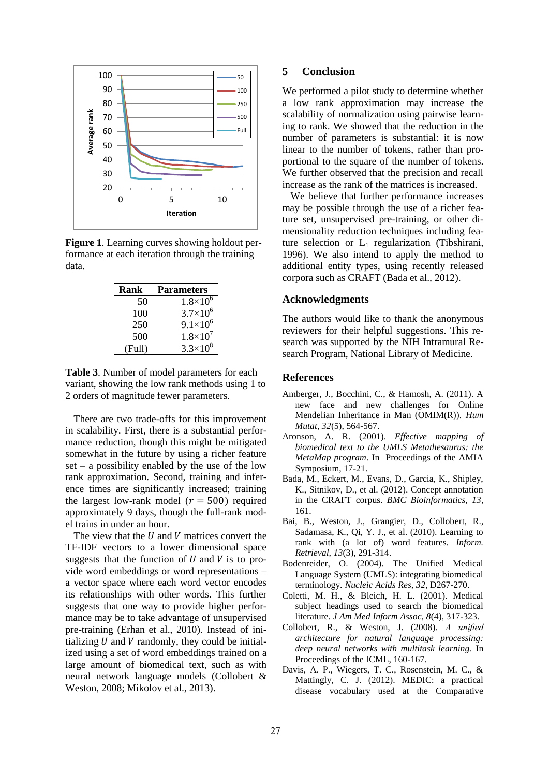

**Figure 1**. Learning curves showing holdout performance at each iteration through the training data.

| Rank   | <b>Parameters</b>   |  |
|--------|---------------------|--|
| 50     | $1.8\times10^{6}$   |  |
| 100    | $3.7\times10^{6}$   |  |
| 250    | $9.1\times10^{6}$   |  |
| 500    | $1.8 \times 10^{7}$ |  |
| (Full) | $3.3 \times 10^{8}$ |  |

**Table 3**. Number of model parameters for each variant, showing the low rank methods using 1 to 2 orders of magnitude fewer parameters.

There are two trade-offs for this improvement in scalability. First, there is a substantial performance reduction, though this might be mitigated somewhat in the future by using a richer feature  $set - a$  possibility enabled by the use of the low rank approximation. Second, training and inference times are significantly increased; training the largest low-rank model ( $r = 500$ ) required approximately 9 days, though the full-rank model trains in under an hour.

The view that the  $U$  and  $V$  matrices convert the TF-IDF vectors to a lower dimensional space suggests that the function of  $U$  and  $V$  is to provide word embeddings or word representations – a vector space where each word vector encodes its relationships with other words. This further suggests that one way to provide higher performance may be to take advantage of unsupervised pre-training (Erhan et al., 2010). Instead of initializing  $U$  and  $V$  randomly, they could be initialized using a set of word embeddings trained on a large amount of biomedical text, such as with neural network language models (Collobert & Weston, 2008; Mikolov et al., 2013).

# **5 Conclusion**

We performed a pilot study to determine whether a low rank approximation may increase the scalability of normalization using pairwise learning to rank. We showed that the reduction in the number of parameters is substantial: it is now linear to the number of tokens, rather than proportional to the square of the number of tokens. We further observed that the precision and recall increase as the rank of the matrices is increased.

We believe that further performance increases may be possible through the use of a richer feature set, unsupervised pre-training, or other dimensionality reduction techniques including feature selection or  $L_1$  regularization (Tibshirani, 1996). We also intend to apply the method to additional entity types, using recently released corpora such as CRAFT (Bada et al., 2012).

## **Acknowledgments**

The authors would like to thank the anonymous reviewers for their helpful suggestions. This research was supported by the NIH Intramural Research Program, National Library of Medicine.

#### **References**

- Amberger, J., Bocchini, C., & Hamosh, A. (2011). A new face and new challenges for Online Mendelian Inheritance in Man (OMIM(R)). *Hum Mutat, 32*(5), 564-567.
- Aronson, A. R. (2001). *Effective mapping of biomedical text to the UMLS Metathesaurus: the MetaMap program*. In Proceedings of the AMIA Symposium, 17-21.
- Bada, M., Eckert, M., Evans, D., Garcia, K., Shipley, K., Sitnikov, D., et al. (2012). Concept annotation in the CRAFT corpus. *BMC Bioinformatics, 13*, 161.
- Bai, B., Weston, J., Grangier, D., Collobert, R., Sadamasa, K., Qi, Y. J., et al. (2010). Learning to rank with (a lot of) word features. *Inform. Retrieval, 13*(3), 291-314.
- Bodenreider, O. (2004). The Unified Medical Language System (UMLS): integrating biomedical terminology. *Nucleic Acids Res, 32*, D267-270.
- Coletti, M. H., & Bleich, H. L. (2001). Medical subject headings used to search the biomedical literature. *J Am Med Inform Assoc, 8*(4), 317-323.
- Collobert, R., & Weston, J. (2008). *A unified architecture for natural language processing: deep neural networks with multitask learning*. In Proceedings of the ICML, 160-167.
- Davis, A. P., Wiegers, T. C., Rosenstein, M. C., & Mattingly, C. J. (2012). MEDIC: a practical disease vocabulary used at the Comparative